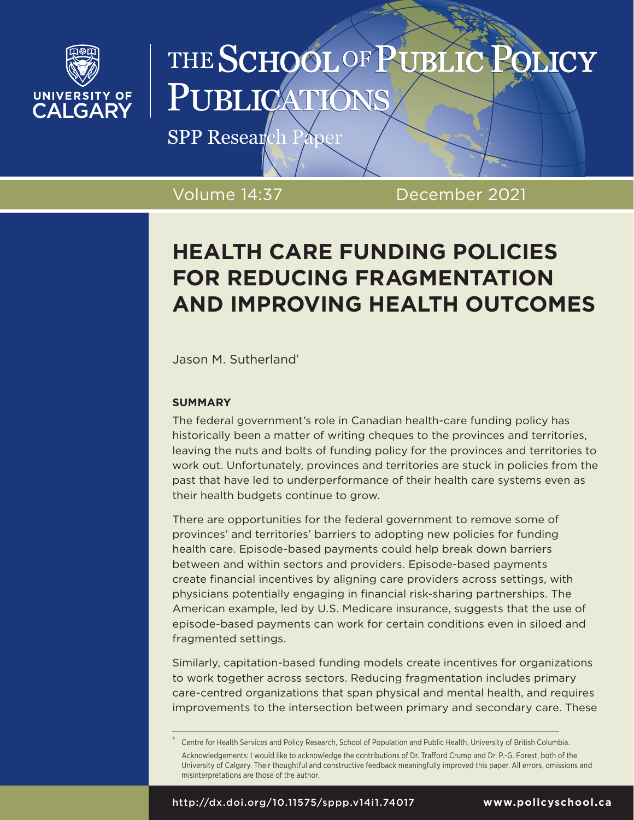

# THE SCHOOL OF PUBLIC **SLICY** PUBLICA

SPP Research Paper

Volume 14:37 December 2021

# **HEALTH CARE FUNDING POLICIES FOR REDUCING FRAGMENTATION AND IMPROVING HEALTH OUTCOMES**

Jason M. Sutherland†

### **SUMMARY**

The federal government's role in Canadian health-care funding policy has historically been a matter of writing cheques to the provinces and territories, leaving the nuts and bolts of funding policy for the provinces and territories to work out. Unfortunately, provinces and territories are stuck in policies from the past that have led to underperformance of their health care systems even as their health budgets continue to grow.

There are opportunities for the federal government to remove some of provinces' and territories' barriers to adopting new policies for funding health care. Episode-based payments could help break down barriers between and within sectors and providers. Episode-based payments create financial incentives by aligning care providers across settings, with physicians potentially engaging in financial risk-sharing partnerships. The American example, led by U.S. Medicare insurance, suggests that the use of episode-based payments can work for certain conditions even in siloed and fragmented settings.

Similarly, capitation-based funding models create incentives for organizations to work together across sectors. Reducing fragmentation includes primary care-centred organizations that span physical and mental health, and requires improvements to the intersection between primary and secondary care. These

<sup>†</sup> Centre for Health Services and Policy Research, School of Population and Public Health, University of British Columbia. Acknowledgements: I would like to acknowledge the contributions of Dr. Trafford Crump and Dr. P.-G. Forest, both of the University of Calgary. Their thoughtful and constructive feedback meaningfully improved this paper. All errors, omissions and misinterpretations are those of the author.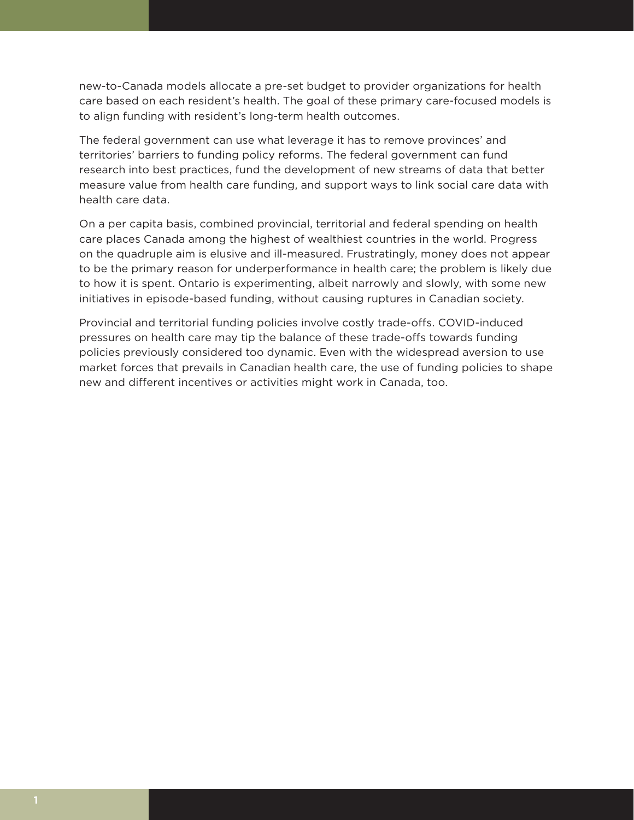new-to-Canada models allocate a pre-set budget to provider organizations for health care based on each resident's health. The goal of these primary care-focused models is to align funding with resident's long-term health outcomes.

The federal government can use what leverage it has to remove provinces' and territories' barriers to funding policy reforms. The federal government can fund research into best practices, fund the development of new streams of data that better measure value from health care funding, and support ways to link social care data with health care data.

On a per capita basis, combined provincial, territorial and federal spending on health care places Canada among the highest of wealthiest countries in the world. Progress on the quadruple aim is elusive and ill-measured. Frustratingly, money does not appear to be the primary reason for underperformance in health care; the problem is likely due to how it is spent. Ontario is experimenting, albeit narrowly and slowly, with some new initiatives in episode-based funding, without causing ruptures in Canadian society.

Provincial and territorial funding policies involve costly trade-offs. COVID-induced pressures on health care may tip the balance of these trade-offs towards funding policies previously considered too dynamic. Even with the widespread aversion to use market forces that prevails in Canadian health care, the use of funding policies to shape new and different incentives or activities might work in Canada, too.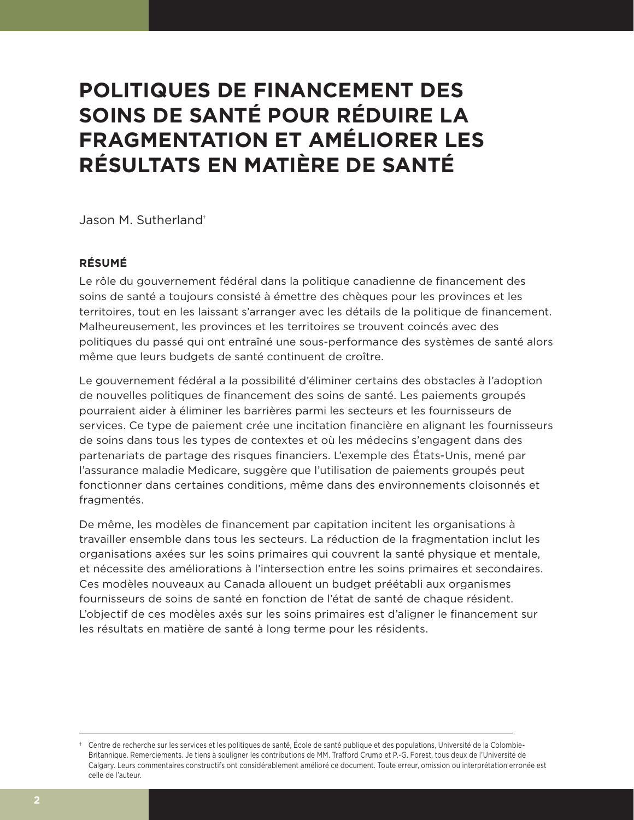# **POLITIQUES DE FINANCEMENT DES SOINS DE SANTÉ POUR RÉDUIRE LA FRAGMENTATION ET AMÉLIORER LES RÉSULTATS EN MATIÈRE DE SANTÉ**

Jason M. Sutherland†

### **RÉSUMÉ**

Le rôle du gouvernement fédéral dans la politique canadienne de financement des soins de santé a toujours consisté à émettre des chèques pour les provinces et les territoires, tout en les laissant s'arranger avec les détails de la politique de financement. Malheureusement, les provinces et les territoires se trouvent coincés avec des politiques du passé qui ont entraîné une sous-performance des systèmes de santé alors même que leurs budgets de santé continuent de croître.

Le gouvernement fédéral a la possibilité d'éliminer certains des obstacles à l'adoption de nouvelles politiques de financement des soins de santé. Les paiements groupés pourraient aider à éliminer les barrières parmi les secteurs et les fournisseurs de services. Ce type de paiement crée une incitation financière en alignant les fournisseurs de soins dans tous les types de contextes et où les médecins s'engagent dans des partenariats de partage des risques financiers. L'exemple des États-Unis, mené par l'assurance maladie Medicare, suggère que l'utilisation de paiements groupés peut fonctionner dans certaines conditions, même dans des environnements cloisonnés et fragmentés.

De même, les modèles de financement par capitation incitent les organisations à travailler ensemble dans tous les secteurs. La réduction de la fragmentation inclut les organisations axées sur les soins primaires qui couvrent la santé physique et mentale, et nécessite des améliorations à l'intersection entre les soins primaires et secondaires. Ces modèles nouveaux au Canada allouent un budget préétabli aux organismes fournisseurs de soins de santé en fonction de l'état de santé de chaque résident. L'objectif de ces modèles axés sur les soins primaires est d'aligner le financement sur les résultats en matière de santé à long terme pour les résidents.

<sup>†</sup> Centre de recherche sur les services et les politiques de santé, École de santé publique et des populations, Université de la Colombie-Britannique. Remerciements. Je tiens à souligner les contributions de MM. Trafford Crump et P.-G. Forest, tous deux de l'Université de Calgary. Leurs commentaires constructifs ont considérablement amélioré ce document. Toute erreur, omission ou interprétation erronée est celle de l'auteur.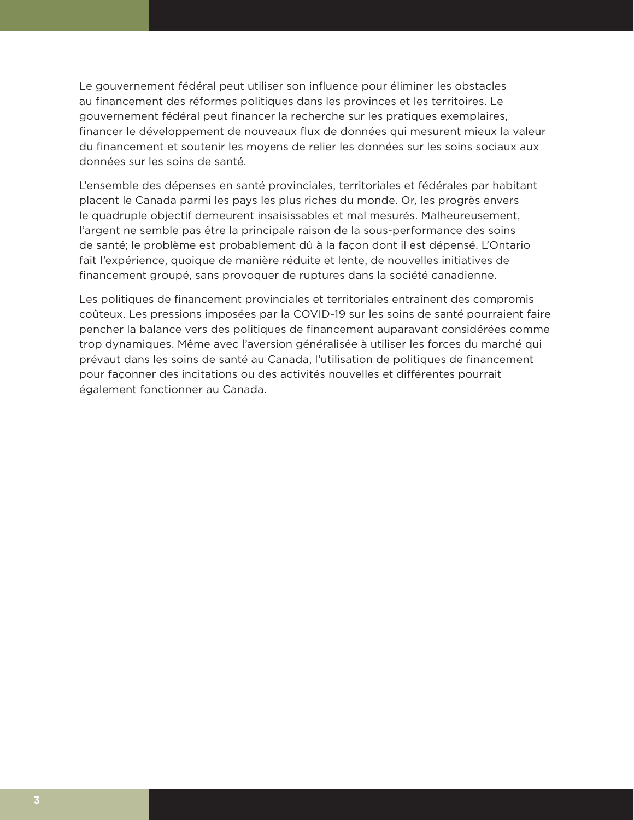Le gouvernement fédéral peut utiliser son influence pour éliminer les obstacles au financement des réformes politiques dans les provinces et les territoires. Le gouvernement fédéral peut financer la recherche sur les pratiques exemplaires, financer le développement de nouveaux flux de données qui mesurent mieux la valeur du financement et soutenir les moyens de relier les données sur les soins sociaux aux données sur les soins de santé.

L'ensemble des dépenses en santé provinciales, territoriales et fédérales par habitant placent le Canada parmi les pays les plus riches du monde. Or, les progrès envers le quadruple objectif demeurent insaisissables et mal mesurés. Malheureusement, l'argent ne semble pas être la principale raison de la sous-performance des soins de santé; le problème est probablement dû à la façon dont il est dépensé. L'Ontario fait l'expérience, quoique de manière réduite et lente, de nouvelles initiatives de financement groupé, sans provoquer de ruptures dans la société canadienne.

Les politiques de financement provinciales et territoriales entraînent des compromis coûteux. Les pressions imposées par la COVID-19 sur les soins de santé pourraient faire pencher la balance vers des politiques de financement auparavant considérées comme trop dynamiques. Même avec l'aversion généralisée à utiliser les forces du marché qui prévaut dans les soins de santé au Canada, l'utilisation de politiques de financement pour façonner des incitations ou des activités nouvelles et différentes pourrait également fonctionner au Canada.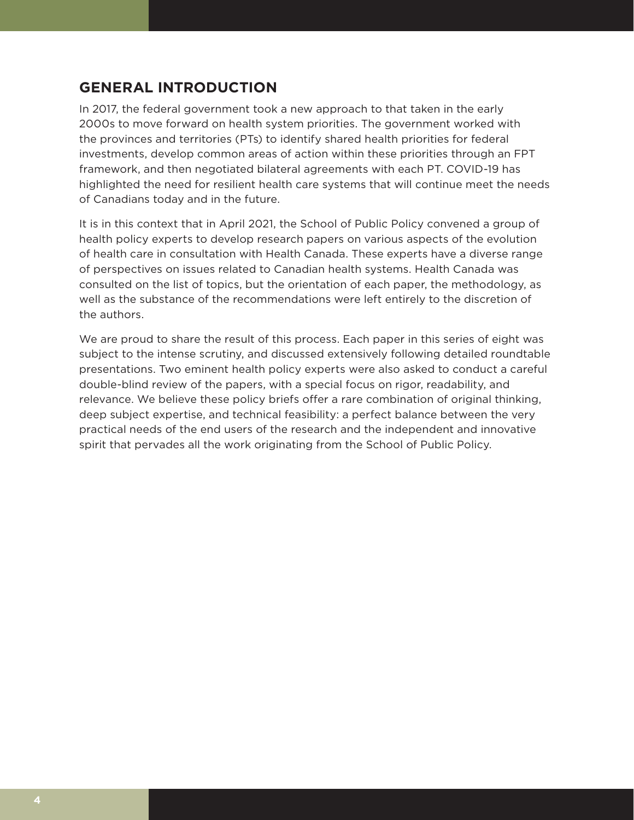# **GENERAL INTRODUCTION**

In 2017, the federal government took a new approach to that taken in the early 2000s to move forward on health system priorities. The government worked with the provinces and territories (PTs) to identify shared health priorities for federal investments, develop common areas of action within these priorities through an FPT framework, and then negotiated bilateral agreements with each PT. COVID-19 has highlighted the need for resilient health care systems that will continue meet the needs of Canadians today and in the future.

It is in this context that in April 2021, the School of Public Policy convened a group of health policy experts to develop research papers on various aspects of the evolution of health care in consultation with Health Canada. These experts have a diverse range of perspectives on issues related to Canadian health systems. Health Canada was consulted on the list of topics, but the orientation of each paper, the methodology, as well as the substance of the recommendations were left entirely to the discretion of the authors.

We are proud to share the result of this process. Each paper in this series of eight was subject to the intense scrutiny, and discussed extensively following detailed roundtable presentations. Two eminent health policy experts were also asked to conduct a careful double-blind review of the papers, with a special focus on rigor, readability, and relevance. We believe these policy briefs offer a rare combination of original thinking, deep subject expertise, and technical feasibility: a perfect balance between the very practical needs of the end users of the research and the independent and innovative spirit that pervades all the work originating from the School of Public Policy.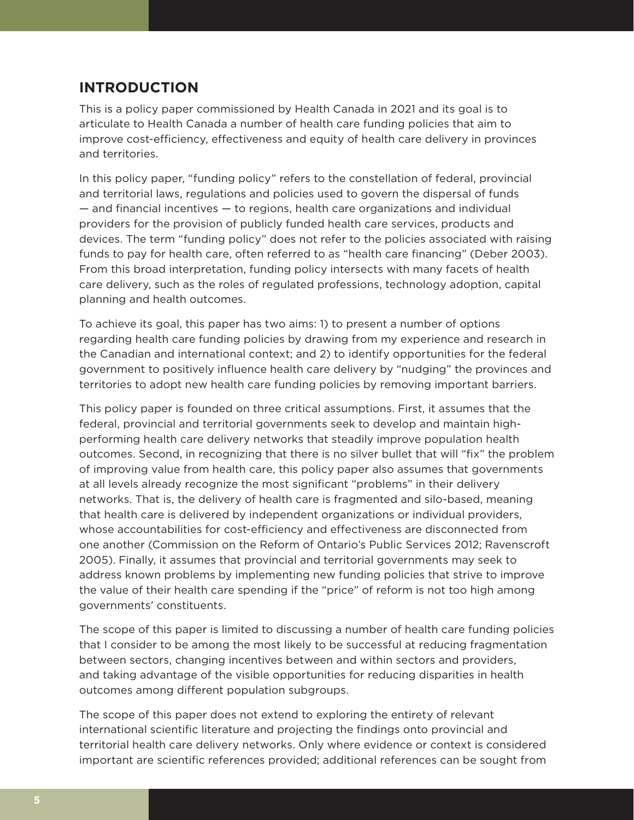### **INTRODUCTION**

This is a policy paper commissioned by Health Canada in 2021 and its goal is to articulate to Health Canada a number of health care funding policies that aim to improve cost-efficiency, effectiveness and equity of health care delivery in provinces and territories.

In this policy paper, "funding policy" refers to the constellation of federal, provincial and territorial laws, regulations and policies used to govern the dispersal of funds — and financial incentives — to regions, health care organizations and individual providers for the provision of publicly funded health care services, products and devices. The term "funding policy" does not refer to the policies associated with raising funds to pay for health care, often referred to as "health care financing" (Deber 2003). From this broad interpretation, funding policy intersects with many facets of health care delivery, such as the roles of regulated professions, technology adoption, capital planning and health outcomes.

To achieve its goal, this paper has two aims: 1) to present a number of options regarding health care funding policies by drawing from my experience and research in the Canadian and international context; and 2) to identify opportunities for the federal government to positively influence health care delivery by "nudging" the provinces and territories to adopt new health care funding policies by removing important barriers.

This policy paper is founded on three critical assumptions. First, it assumes that the federal, provincial and territorial governments seek to develop and maintain highperforming health care delivery networks that steadily improve population health outcomes. Second, in recognizing that there is no silver bullet that will "fix" the problem of improving value from health care, this policy paper also assumes that governments at all levels already recognize the most significant "problems" in their delivery networks. That is, the delivery of health care is fragmented and silo-based, meaning that health care is delivered by independent organizations or individual providers, whose accountabilities for cost-efficiency and effectiveness are disconnected from one another (Commission on the Reform of Ontario's Public Services 2012; Ravenscroft 2005). Finally, it assumes that provincial and territorial governments may seek to address known problems by implementing new funding policies that strive to improve the value of their health care spending if the "price" of reform is not too high among governments' constituents.

The scope of this paper is limited to discussing a number of health care funding policies that I consider to be among the most likely to be successful at reducing fragmentation between sectors, changing incentives between and within sectors and providers, and taking advantage of the visible opportunities for reducing disparities in health outcomes among different population subgroups.

The scope of this paper does not extend to exploring the entirety of relevant international scientific literature and projecting the findings onto provincial and territorial health care delivery networks. Only where evidence or context is considered important are scientific references provided; additional references can be sought from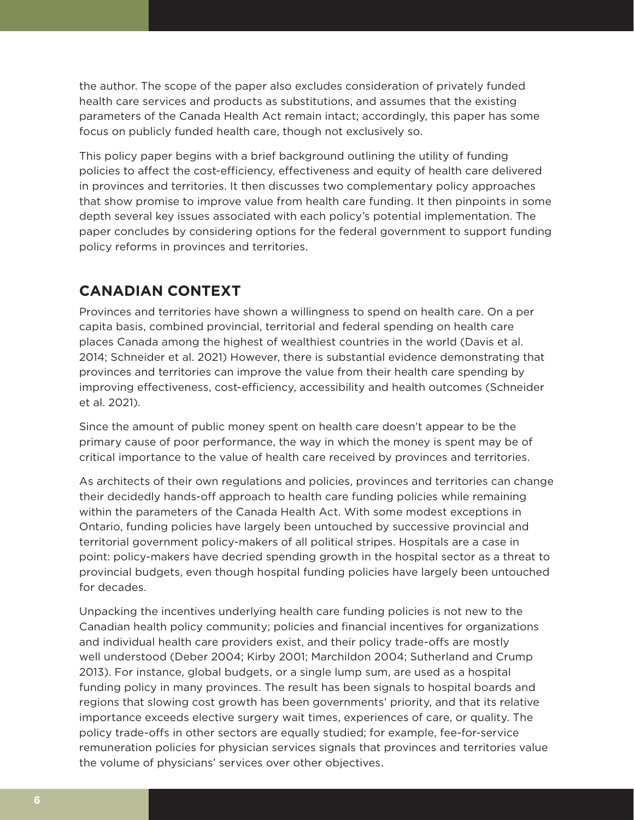the author. The scope of the paper also excludes consideration of privately funded health care services and products as substitutions, and assumes that the existing parameters of the Canada Health Act remain intact; accordingly, this paper has some focus on publicly funded health care, though not exclusively so.

This policy paper begins with a brief background outlining the utility of funding policies to affect the cost-efficiency, effectiveness and equity of health care delivered in provinces and territories. It then discusses two complementary policy approaches that show promise to improve value from health care funding. It then pinpoints in some depth several key issues associated with each policy's potential implementation. The paper concludes by considering options for the federal government to support funding policy reforms in provinces and territories.

## **CANADIAN CONTEXT**

Provinces and territories have shown a willingness to spend on health care. On a per capita basis, combined provincial, territorial and federal spending on health care places Canada among the highest of wealthiest countries in the world (Davis et al. 2014; Schneider et al. 2021) However, there is substantial evidence demonstrating that provinces and territories can improve the value from their health care spending by improving effectiveness, cost-efficiency, accessibility and health outcomes (Schneider et al. 2021).

Since the amount of public money spent on health care doesn't appear to be the primary cause of poor performance, the way in which the money is spent may be of critical importance to the value of health care received by provinces and territories.

As architects of their own regulations and policies, provinces and territories can change their decidedly hands-off approach to health care funding policies while remaining within the parameters of the Canada Health Act. With some modest exceptions in Ontario, funding policies have largely been untouched by successive provincial and territorial government policy-makers of all political stripes. Hospitals are a case in point: policy-makers have decried spending growth in the hospital sector as a threat to provincial budgets, even though hospital funding policies have largely been untouched for decades.

Unpacking the incentives underlying health care funding policies is not new to the Canadian health policy community; policies and financial incentives for organizations and individual health care providers exist, and their policy trade-offs are mostly well understood (Deber 2004; Kirby 2001; Marchildon 2004; Sutherland and Crump 2013). For instance, global budgets, or a single lump sum, are used as a hospital funding policy in many provinces. The result has been signals to hospital boards and regions that slowing cost growth has been governments' priority, and that its relative importance exceeds elective surgery wait times, experiences of care, or quality. The policy trade-offs in other sectors are equally studied; for example, fee-for-service remuneration policies for physician services signals that provinces and territories value the volume of physicians' services over other objectives.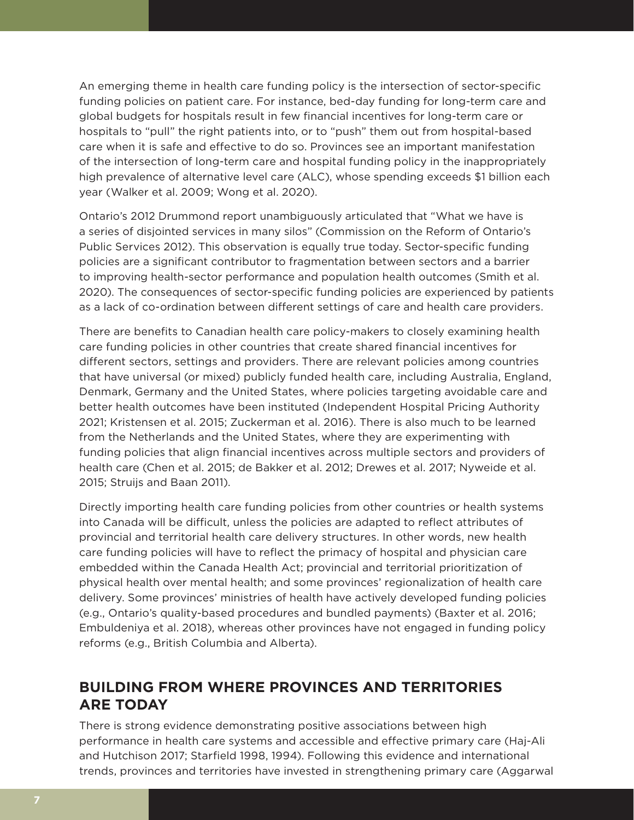An emerging theme in health care funding policy is the intersection of sector-specific funding policies on patient care. For instance, bed-day funding for long-term care and global budgets for hospitals result in few financial incentives for long-term care or hospitals to "pull" the right patients into, or to "push" them out from hospital-based care when it is safe and effective to do so. Provinces see an important manifestation of the intersection of long-term care and hospital funding policy in the inappropriately high prevalence of alternative level care (ALC), whose spending exceeds \$1 billion each year (Walker et al. 2009; Wong et al. 2020).

Ontario's 2012 Drummond report unambiguously articulated that "What we have is a series of disjointed services in many silos" (Commission on the Reform of Ontario's Public Services 2012). This observation is equally true today. Sector-specific funding policies are a significant contributor to fragmentation between sectors and a barrier to improving health-sector performance and population health outcomes (Smith et al. 2020). The consequences of sector-specific funding policies are experienced by patients as a lack of co-ordination between different settings of care and health care providers.

There are benefits to Canadian health care policy-makers to closely examining health care funding policies in other countries that create shared financial incentives for different sectors, settings and providers. There are relevant policies among countries that have universal (or mixed) publicly funded health care, including Australia, England, Denmark, Germany and the United States, where policies targeting avoidable care and better health outcomes have been instituted (Independent Hospital Pricing Authority 2021; Kristensen et al. 2015; Zuckerman et al. 2016). There is also much to be learned from the Netherlands and the United States, where they are experimenting with funding policies that align financial incentives across multiple sectors and providers of health care (Chen et al. 2015; de Bakker et al. 2012; Drewes et al. 2017; Nyweide et al. 2015; Struijs and Baan 2011).

Directly importing health care funding policies from other countries or health systems into Canada will be difficult, unless the policies are adapted to reflect attributes of provincial and territorial health care delivery structures. In other words, new health care funding policies will have to reflect the primacy of hospital and physician care embedded within the Canada Health Act; provincial and territorial prioritization of physical health over mental health; and some provinces' regionalization of health care delivery. Some provinces' ministries of health have actively developed funding policies (e.g., Ontario's quality-based procedures and bundled payments) (Baxter et al. 2016; Embuldeniya et al. 2018), whereas other provinces have not engaged in funding policy reforms (e.g., British Columbia and Alberta).

## **BUILDING FROM WHERE PROVINCES AND TERRITORIES ARE TODAY**

There is strong evidence demonstrating positive associations between high performance in health care systems and accessible and effective primary care (Haj-Ali and Hutchison 2017; Starfield 1998, 1994). Following this evidence and international trends, provinces and territories have invested in strengthening primary care (Aggarwal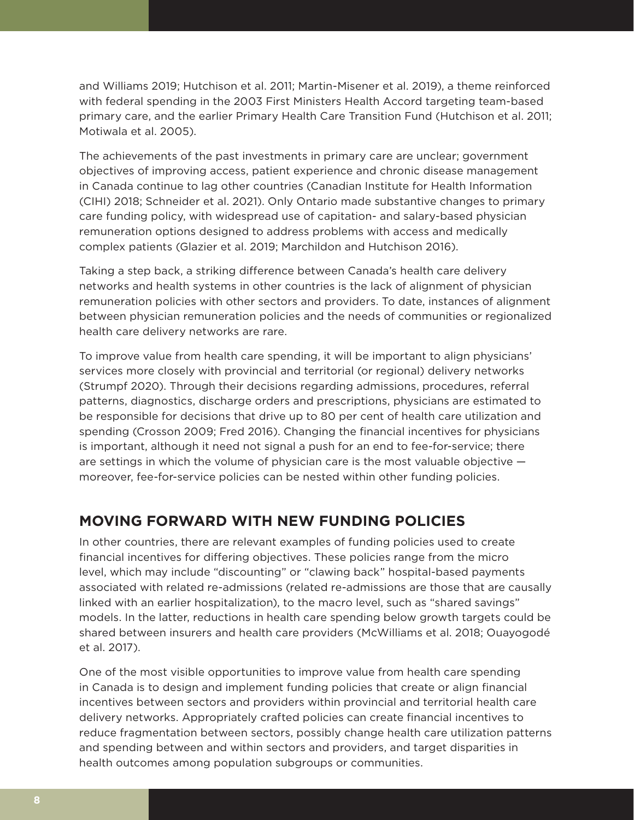and Williams 2019; Hutchison et al. 2011; Martin-Misener et al. 2019), a theme reinforced with federal spending in the 2003 First Ministers Health Accord targeting team-based primary care, and the earlier Primary Health Care Transition Fund (Hutchison et al. 2011; Motiwala et al. 2005).

The achievements of the past investments in primary care are unclear; government objectives of improving access, patient experience and chronic disease management in Canada continue to lag other countries (Canadian Institute for Health Information (CIHI) 2018; Schneider et al. 2021). Only Ontario made substantive changes to primary care funding policy, with widespread use of capitation- and salary-based physician remuneration options designed to address problems with access and medically complex patients (Glazier et al. 2019; Marchildon and Hutchison 2016).

Taking a step back, a striking difference between Canada's health care delivery networks and health systems in other countries is the lack of alignment of physician remuneration policies with other sectors and providers. To date, instances of alignment between physician remuneration policies and the needs of communities or regionalized health care delivery networks are rare.

To improve value from health care spending, it will be important to align physicians' services more closely with provincial and territorial (or regional) delivery networks (Strumpf 2020). Through their decisions regarding admissions, procedures, referral patterns, diagnostics, discharge orders and prescriptions, physicians are estimated to be responsible for decisions that drive up to 80 per cent of health care utilization and spending (Crosson 2009; Fred 2016). Changing the financial incentives for physicians is important, although it need not signal a push for an end to fee-for-service; there are settings in which the volume of physician care is the most valuable objective moreover, fee-for-service policies can be nested within other funding policies.

## **MOVING FORWARD WITH NEW FUNDING POLICIES**

In other countries, there are relevant examples of funding policies used to create financial incentives for differing objectives. These policies range from the micro level, which may include "discounting" or "clawing back" hospital-based payments associated with related re-admissions (related re-admissions are those that are causally linked with an earlier hospitalization), to the macro level, such as "shared savings" models. In the latter, reductions in health care spending below growth targets could be shared between insurers and health care providers (McWilliams et al. 2018; Ouayogodé et al. 2017).

One of the most visible opportunities to improve value from health care spending in Canada is to design and implement funding policies that create or align financial incentives between sectors and providers within provincial and territorial health care delivery networks. Appropriately crafted policies can create financial incentives to reduce fragmentation between sectors, possibly change health care utilization patterns and spending between and within sectors and providers, and target disparities in health outcomes among population subgroups or communities.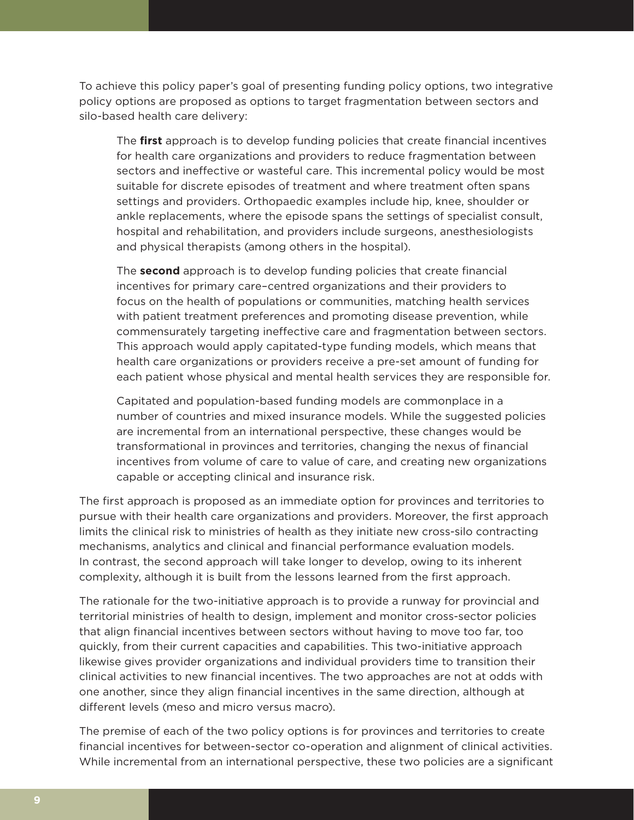To achieve this policy paper's goal of presenting funding policy options, two integrative policy options are proposed as options to target fragmentation between sectors and silo-based health care delivery:

The **first** approach is to develop funding policies that create financial incentives for health care organizations and providers to reduce fragmentation between sectors and ineffective or wasteful care. This incremental policy would be most suitable for discrete episodes of treatment and where treatment often spans settings and providers. Orthopaedic examples include hip, knee, shoulder or ankle replacements, where the episode spans the settings of specialist consult, hospital and rehabilitation, and providers include surgeons, anesthesiologists and physical therapists (among others in the hospital).

The **second** approach is to develop funding policies that create financial incentives for primary care–centred organizations and their providers to focus on the health of populations or communities, matching health services with patient treatment preferences and promoting disease prevention, while commensurately targeting ineffective care and fragmentation between sectors. This approach would apply capitated-type funding models, which means that health care organizations or providers receive a pre-set amount of funding for each patient whose physical and mental health services they are responsible for.

Capitated and population-based funding models are commonplace in a number of countries and mixed insurance models. While the suggested policies are incremental from an international perspective, these changes would be transformational in provinces and territories, changing the nexus of financial incentives from volume of care to value of care, and creating new organizations capable or accepting clinical and insurance risk.

The first approach is proposed as an immediate option for provinces and territories to pursue with their health care organizations and providers. Moreover, the first approach limits the clinical risk to ministries of health as they initiate new cross-silo contracting mechanisms, analytics and clinical and financial performance evaluation models. In contrast, the second approach will take longer to develop, owing to its inherent complexity, although it is built from the lessons learned from the first approach.

The rationale for the two-initiative approach is to provide a runway for provincial and territorial ministries of health to design, implement and monitor cross-sector policies that align financial incentives between sectors without having to move too far, too quickly, from their current capacities and capabilities. This two-initiative approach likewise gives provider organizations and individual providers time to transition their clinical activities to new financial incentives. The two approaches are not at odds with one another, since they align financial incentives in the same direction, although at different levels (meso and micro versus macro).

The premise of each of the two policy options is for provinces and territories to create financial incentives for between-sector co-operation and alignment of clinical activities. While incremental from an international perspective, these two policies are a significant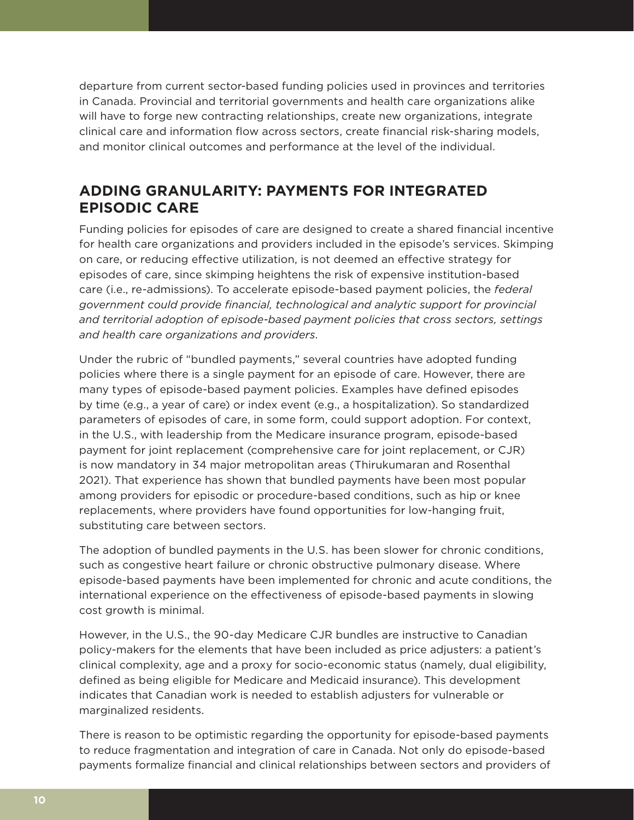departure from current sector-based funding policies used in provinces and territories in Canada. Provincial and territorial governments and health care organizations alike will have to forge new contracting relationships, create new organizations, integrate clinical care and information flow across sectors, create financial risk-sharing models, and monitor clinical outcomes and performance at the level of the individual.

# **ADDING GRANULARITY: PAYMENTS FOR INTEGRATED EPISODIC CARE**

Funding policies for episodes of care are designed to create a shared financial incentive for health care organizations and providers included in the episode's services. Skimping on care, or reducing effective utilization, is not deemed an effective strategy for episodes of care, since skimping heightens the risk of expensive institution-based care (i.e., re-admissions). To accelerate episode-based payment policies, the *federal government could provide financial, technological and analytic support for provincial and territorial adoption of episode-based payment policies that cross sectors, settings and health care organizations and providers*.

Under the rubric of "bundled payments," several countries have adopted funding policies where there is a single payment for an episode of care. However, there are many types of episode-based payment policies. Examples have defined episodes by time (e.g., a year of care) or index event (e.g., a hospitalization). So standardized parameters of episodes of care, in some form, could support adoption. For context, in the U.S., with leadership from the Medicare insurance program, episode-based payment for joint replacement (comprehensive care for joint replacement, or CJR) is now mandatory in 34 major metropolitan areas (Thirukumaran and Rosenthal 2021). That experience has shown that bundled payments have been most popular among providers for episodic or procedure-based conditions, such as hip or knee replacements, where providers have found opportunities for low-hanging fruit, substituting care between sectors.

The adoption of bundled payments in the U.S. has been slower for chronic conditions, such as congestive heart failure or chronic obstructive pulmonary disease. Where episode-based payments have been implemented for chronic and acute conditions, the international experience on the effectiveness of episode-based payments in slowing cost growth is minimal.

However, in the U.S., the 90-day Medicare CJR bundles are instructive to Canadian policy-makers for the elements that have been included as price adjusters: a patient's clinical complexity, age and a proxy for socio-economic status (namely, dual eligibility, defined as being eligible for Medicare and Medicaid insurance). This development indicates that Canadian work is needed to establish adjusters for vulnerable or marginalized residents.

There is reason to be optimistic regarding the opportunity for episode-based payments to reduce fragmentation and integration of care in Canada. Not only do episode-based payments formalize financial and clinical relationships between sectors and providers of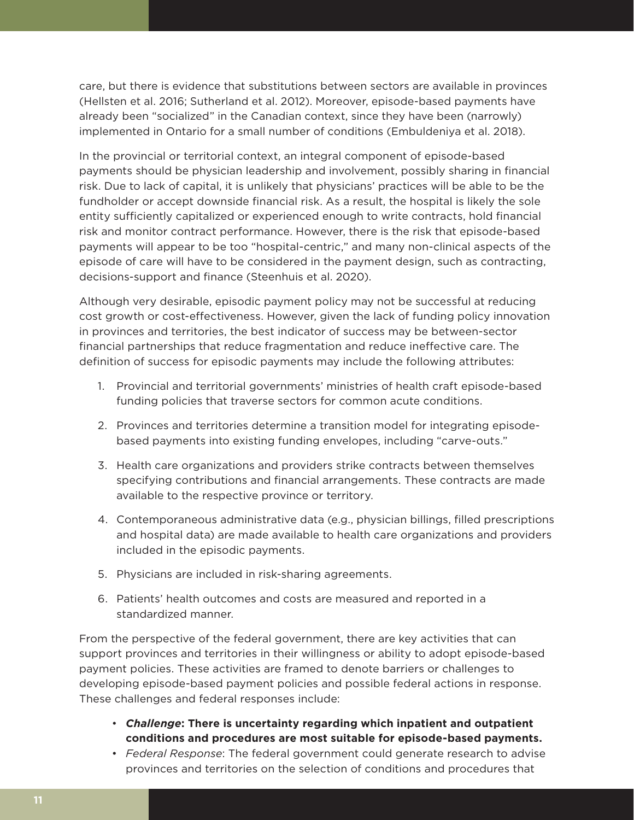care, but there is evidence that substitutions between sectors are available in provinces (Hellsten et al. 2016; Sutherland et al. 2012). Moreover, episode-based payments have already been "socialized" in the Canadian context, since they have been (narrowly) implemented in Ontario for a small number of conditions (Embuldeniya et al. 2018).

In the provincial or territorial context, an integral component of episode-based payments should be physician leadership and involvement, possibly sharing in financial risk. Due to lack of capital, it is unlikely that physicians' practices will be able to be the fundholder or accept downside financial risk. As a result, the hospital is likely the sole entity sufficiently capitalized or experienced enough to write contracts, hold financial risk and monitor contract performance. However, there is the risk that episode-based payments will appear to be too "hospital-centric," and many non-clinical aspects of the episode of care will have to be considered in the payment design, such as contracting, decisions-support and finance (Steenhuis et al. 2020).

Although very desirable, episodic payment policy may not be successful at reducing cost growth or cost-effectiveness. However, given the lack of funding policy innovation in provinces and territories, the best indicator of success may be between-sector financial partnerships that reduce fragmentation and reduce ineffective care. The definition of success for episodic payments may include the following attributes:

- 1. Provincial and territorial governments' ministries of health craft episode-based funding policies that traverse sectors for common acute conditions.
- 2. Provinces and territories determine a transition model for integrating episodebased payments into existing funding envelopes, including "carve-outs."
- 3. Health care organizations and providers strike contracts between themselves specifying contributions and financial arrangements. These contracts are made available to the respective province or territory.
- 4. Contemporaneous administrative data (e.g., physician billings, filled prescriptions and hospital data) are made available to health care organizations and providers included in the episodic payments.
- 5. Physicians are included in risk-sharing agreements.
- 6. Patients' health outcomes and costs are measured and reported in a standardized manner.

From the perspective of the federal government, there are key activities that can support provinces and territories in their willingness or ability to adopt episode-based payment policies. These activities are framed to denote barriers or challenges to developing episode-based payment policies and possible federal actions in response. These challenges and federal responses include:

- *Challenge***: There is uncertainty regarding which inpatient and outpatient conditions and procedures are most suitable for episode-based payments.**
- *Federal Response*: The federal government could generate research to advise provinces and territories on the selection of conditions and procedures that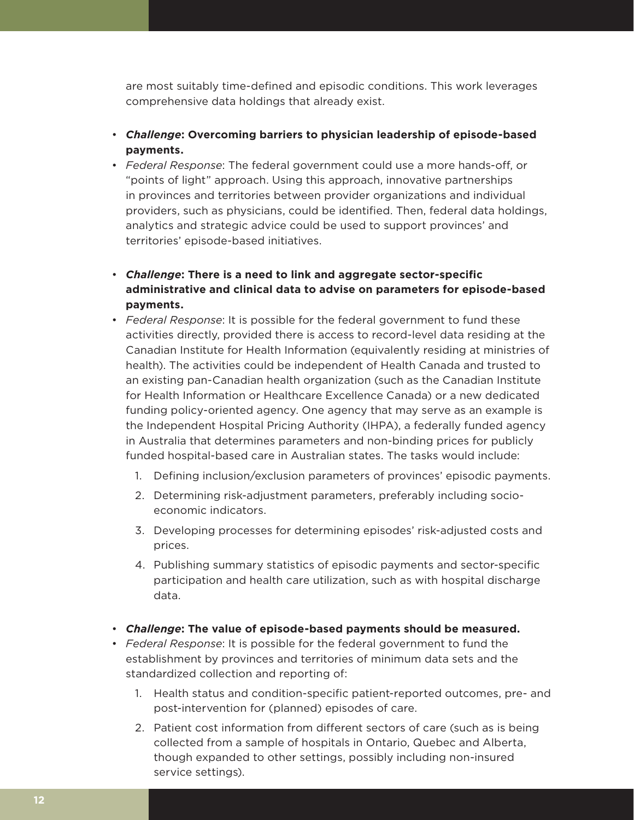are most suitably time-defined and episodic conditions. This work leverages comprehensive data holdings that already exist.

- *Challenge***: Overcoming barriers to physician leadership of episode-based payments.**
- *Federal Response*: The federal government could use a more hands-off, or "points of light" approach. Using this approach, innovative partnerships in provinces and territories between provider organizations and individual providers, such as physicians, could be identified. Then, federal data holdings, analytics and strategic advice could be used to support provinces' and territories' episode-based initiatives.
- *Challenge***: There is a need to link and aggregate sector-specific administrative and clinical data to advise on parameters for episode-based payments.**
- *Federal Response*: It is possible for the federal government to fund these activities directly, provided there is access to record-level data residing at the Canadian Institute for Health Information (equivalently residing at ministries of health). The activities could be independent of Health Canada and trusted to an existing pan-Canadian health organization (such as the Canadian Institute for Health Information or Healthcare Excellence Canada) or a new dedicated funding policy-oriented agency. One agency that may serve as an example is the Independent Hospital Pricing Authority (IHPA), a federally funded agency in Australia that determines parameters and non-binding prices for publicly funded hospital-based care in Australian states. The tasks would include:
	- 1. Defining inclusion/exclusion parameters of provinces' episodic payments.
	- 2. Determining risk-adjustment parameters, preferably including socioeconomic indicators.
	- 3. Developing processes for determining episodes' risk-adjusted costs and prices.
	- 4. Publishing summary statistics of episodic payments and sector-specific participation and health care utilization, such as with hospital discharge data.
- *Challenge***: The value of episode-based payments should be measured.**
- *Federal Response*: It is possible for the federal government to fund the establishment by provinces and territories of minimum data sets and the standardized collection and reporting of:
	- 1. Health status and condition-specific patient-reported outcomes, pre- and post-intervention for (planned) episodes of care.
	- 2. Patient cost information from different sectors of care (such as is being collected from a sample of hospitals in Ontario, Quebec and Alberta, though expanded to other settings, possibly including non-insured service settings).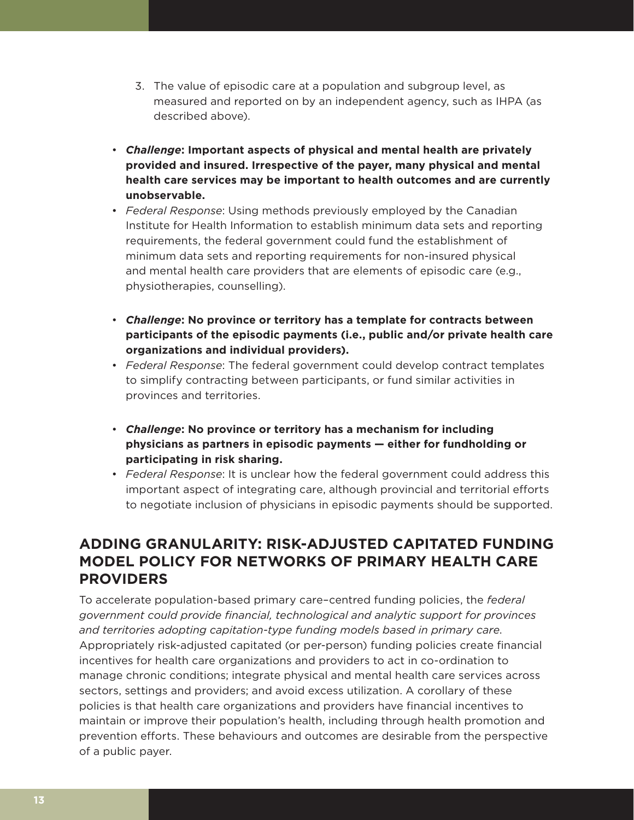- 3. The value of episodic care at a population and subgroup level, as measured and reported on by an independent agency, such as IHPA (as described above).
- *Challenge***: Important aspects of physical and mental health are privately provided and insured. Irrespective of the payer, many physical and mental health care services may be important to health outcomes and are currently unobservable.**
- *Federal Response*: Using methods previously employed by the Canadian Institute for Health Information to establish minimum data sets and reporting requirements, the federal government could fund the establishment of minimum data sets and reporting requirements for non-insured physical and mental health care providers that are elements of episodic care (e.g., physiotherapies, counselling).
- *Challenge***: No province or territory has a template for contracts between participants of the episodic payments (i.e., public and/or private health care organizations and individual providers).**
- *Federal Response*: The federal government could develop contract templates to simplify contracting between participants, or fund similar activities in provinces and territories.
- *Challenge***: No province or territory has a mechanism for including physicians as partners in episodic payments — either for fundholding or participating in risk sharing.**
- *Federal Response*: It is unclear how the federal government could address this important aspect of integrating care, although provincial and territorial efforts to negotiate inclusion of physicians in episodic payments should be supported.

# **ADDING GRANULARITY: RISK-ADJUSTED CAPITATED FUNDING MODEL POLICY FOR NETWORKS OF PRIMARY HEALTH CARE PROVIDERS**

To accelerate population-based primary care–centred funding policies, the *federal government could provide financial, technological and analytic support for provinces and territories adopting capitation-type funding models based in primary care*. Appropriately risk-adjusted capitated (or per-person) funding policies create financial incentives for health care organizations and providers to act in co-ordination to manage chronic conditions; integrate physical and mental health care services across sectors, settings and providers; and avoid excess utilization. A corollary of these policies is that health care organizations and providers have financial incentives to maintain or improve their population's health, including through health promotion and prevention efforts. These behaviours and outcomes are desirable from the perspective of a public payer.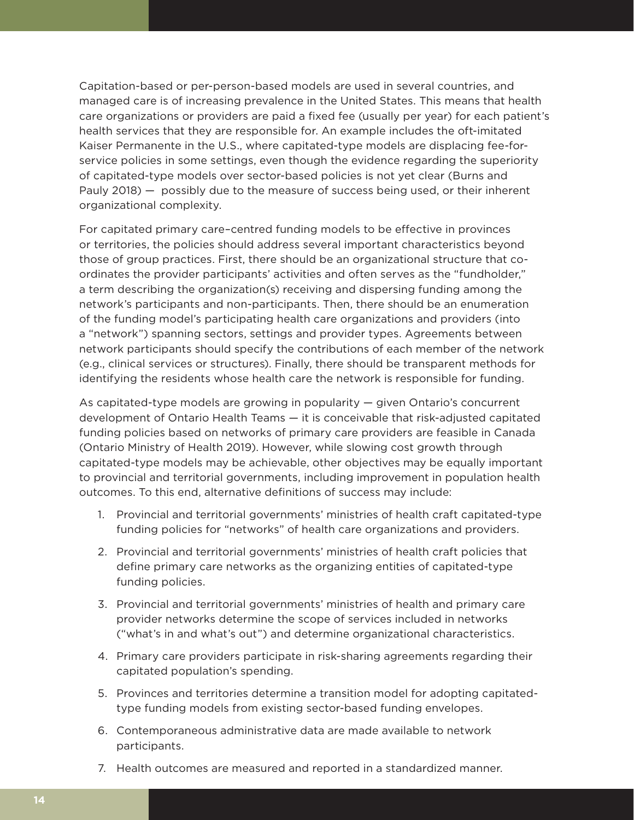Capitation-based or per-person-based models are used in several countries, and managed care is of increasing prevalence in the United States. This means that health care organizations or providers are paid a fixed fee (usually per year) for each patient's health services that they are responsible for. An example includes the oft-imitated Kaiser Permanente in the U.S., where capitated-type models are displacing fee-forservice policies in some settings, even though the evidence regarding the superiority of capitated-type models over sector-based policies is not yet clear (Burns and Pauly 2018) — possibly due to the measure of success being used, or their inherent organizational complexity.

For capitated primary care–centred funding models to be effective in provinces or territories, the policies should address several important characteristics beyond those of group practices. First, there should be an organizational structure that coordinates the provider participants' activities and often serves as the "fundholder," a term describing the organization(s) receiving and dispersing funding among the network's participants and non-participants. Then, there should be an enumeration of the funding model's participating health care organizations and providers (into a "network") spanning sectors, settings and provider types. Agreements between network participants should specify the contributions of each member of the network (e.g., clinical services or structures). Finally, there should be transparent methods for identifying the residents whose health care the network is responsible for funding.

As capitated-type models are growing in popularity — given Ontario's concurrent development of Ontario Health Teams — it is conceivable that risk-adjusted capitated funding policies based on networks of primary care providers are feasible in Canada (Ontario Ministry of Health 2019). However, while slowing cost growth through capitated-type models may be achievable, other objectives may be equally important to provincial and territorial governments, including improvement in population health outcomes. To this end, alternative definitions of success may include:

- 1. Provincial and territorial governments' ministries of health craft capitated-type funding policies for "networks" of health care organizations and providers.
- 2. Provincial and territorial governments' ministries of health craft policies that define primary care networks as the organizing entities of capitated-type funding policies.
- 3. Provincial and territorial governments' ministries of health and primary care provider networks determine the scope of services included in networks ("what's in and what's out") and determine organizational characteristics.
- 4. Primary care providers participate in risk-sharing agreements regarding their capitated population's spending.
- 5. Provinces and territories determine a transition model for adopting capitatedtype funding models from existing sector-based funding envelopes.
- 6. Contemporaneous administrative data are made available to network participants.
- 7. Health outcomes are measured and reported in a standardized manner.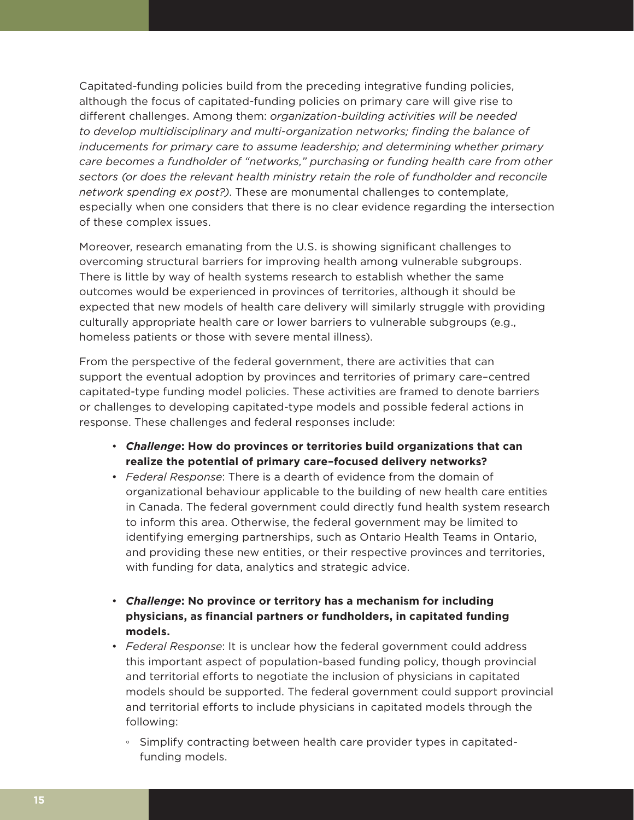Capitated-funding policies build from the preceding integrative funding policies, although the focus of capitated-funding policies on primary care will give rise to different challenges. Among them: *organization-building activities will be needed to develop multidisciplinary and multi-organization networks; finding the balance of inducements for primary care to assume leadership; and determining whether primary care becomes a fundholder of "networks," purchasing or funding health care from other sectors (or does the relevant health ministry retain the role of fundholder and reconcile network spending ex post?)*. These are monumental challenges to contemplate, especially when one considers that there is no clear evidence regarding the intersection of these complex issues.

Moreover, research emanating from the U.S. is showing significant challenges to overcoming structural barriers for improving health among vulnerable subgroups. There is little by way of health systems research to establish whether the same outcomes would be experienced in provinces of territories, although it should be expected that new models of health care delivery will similarly struggle with providing culturally appropriate health care or lower barriers to vulnerable subgroups (e.g., homeless patients or those with severe mental illness).

From the perspective of the federal government, there are activities that can support the eventual adoption by provinces and territories of primary care–centred capitated-type funding model policies. These activities are framed to denote barriers or challenges to developing capitated-type models and possible federal actions in response. These challenges and federal responses include:

- *Challenge***: How do provinces or territories build organizations that can realize the potential of primary care–focused delivery networks?**
- *Federal Response*: There is a dearth of evidence from the domain of organizational behaviour applicable to the building of new health care entities in Canada. The federal government could directly fund health system research to inform this area. Otherwise, the federal government may be limited to identifying emerging partnerships, such as Ontario Health Teams in Ontario, and providing these new entities, or their respective provinces and territories, with funding for data, analytics and strategic advice.
- *Challenge***: No province or territory has a mechanism for including physicians, as financial partners or fundholders, in capitated funding models.**
- *Federal Response*: It is unclear how the federal government could address this important aspect of population-based funding policy, though provincial and territorial efforts to negotiate the inclusion of physicians in capitated models should be supported. The federal government could support provincial and territorial efforts to include physicians in capitated models through the following:
	- Simplify contracting between health care provider types in capitatedfunding models.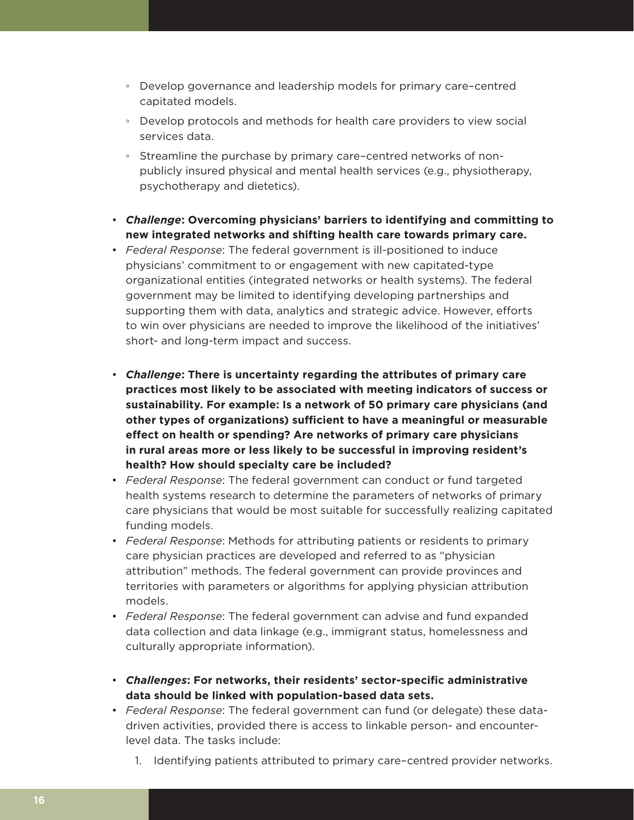- Develop governance and leadership models for primary care–centred capitated models.
- Develop protocols and methods for health care providers to view social services data.
- Streamline the purchase by primary care–centred networks of nonpublicly insured physical and mental health services (e.g., physiotherapy, psychotherapy and dietetics).
- *Challenge***: Overcoming physicians' barriers to identifying and committing to new integrated networks and shifting health care towards primary care.**
- *Federal Response*: The federal government is ill-positioned to induce physicians' commitment to or engagement with new capitated-type organizational entities (integrated networks or health systems). The federal government may be limited to identifying developing partnerships and supporting them with data, analytics and strategic advice. However, efforts to win over physicians are needed to improve the likelihood of the initiatives' short- and long-term impact and success.
- *Challenge***: There is uncertainty regarding the attributes of primary care practices most likely to be associated with meeting indicators of success or sustainability. For example: Is a network of 50 primary care physicians (and other types of organizations) sufficient to have a meaningful or measurable effect on health or spending? Are networks of primary care physicians in rural areas more or less likely to be successful in improving resident's health? How should specialty care be included?**
- *Federal Response*: The federal government can conduct or fund targeted health systems research to determine the parameters of networks of primary care physicians that would be most suitable for successfully realizing capitated funding models.
- *Federal Response*: Methods for attributing patients or residents to primary care physician practices are developed and referred to as "physician attribution" methods. The federal government can provide provinces and territories with parameters or algorithms for applying physician attribution models.
- *Federal Response*: The federal government can advise and fund expanded data collection and data linkage (e.g., immigrant status, homelessness and culturally appropriate information).
- *Challenges***: For networks, their residents' sector-specific administrative data should be linked with population-based data sets.**
- *Federal Response*: The federal government can fund (or delegate) these datadriven activities, provided there is access to linkable person- and encounterlevel data. The tasks include:
	- 1. Identifying patients attributed to primary care–centred provider networks.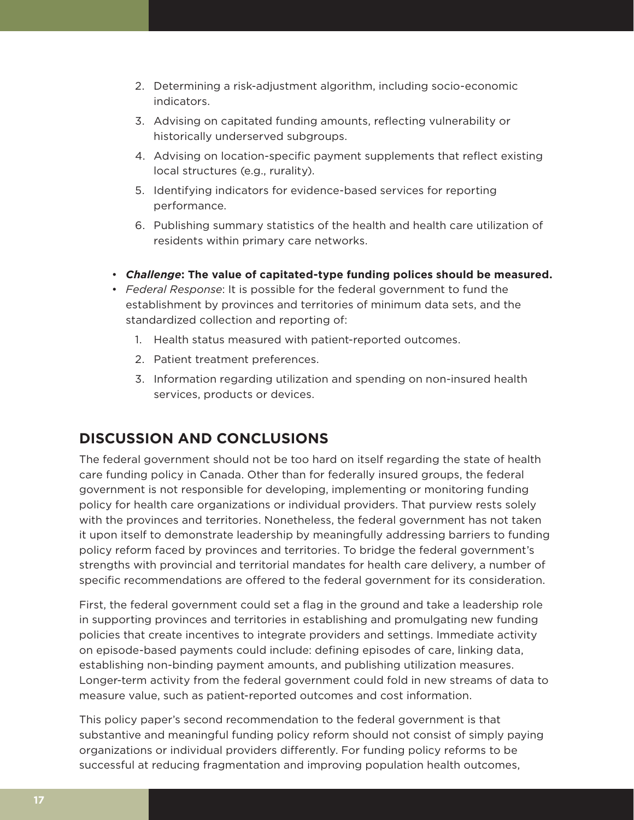- 2. Determining a risk-adjustment algorithm, including socio-economic indicators.
- 3. Advising on capitated funding amounts, reflecting vulnerability or historically underserved subgroups.
- 4. Advising on location-specific payment supplements that reflect existing local structures (e.g., rurality).
- 5. Identifying indicators for evidence-based services for reporting performance.
- 6. Publishing summary statistics of the health and health care utilization of residents within primary care networks.
- *Challenge***: The value of capitated-type funding polices should be measured.**
- *Federal Response*: It is possible for the federal government to fund the establishment by provinces and territories of minimum data sets, and the standardized collection and reporting of:
	- 1. Health status measured with patient-reported outcomes.
	- 2. Patient treatment preferences.
	- 3. Information regarding utilization and spending on non-insured health services, products or devices.

## **DISCUSSION AND CONCLUSIONS**

The federal government should not be too hard on itself regarding the state of health care funding policy in Canada. Other than for federally insured groups, the federal government is not responsible for developing, implementing or monitoring funding policy for health care organizations or individual providers. That purview rests solely with the provinces and territories. Nonetheless, the federal government has not taken it upon itself to demonstrate leadership by meaningfully addressing barriers to funding policy reform faced by provinces and territories. To bridge the federal government's strengths with provincial and territorial mandates for health care delivery, a number of specific recommendations are offered to the federal government for its consideration.

First, the federal government could set a flag in the ground and take a leadership role in supporting provinces and territories in establishing and promulgating new funding policies that create incentives to integrate providers and settings. Immediate activity on episode-based payments could include: defining episodes of care, linking data, establishing non-binding payment amounts, and publishing utilization measures. Longer-term activity from the federal government could fold in new streams of data to measure value, such as patient-reported outcomes and cost information.

This policy paper's second recommendation to the federal government is that substantive and meaningful funding policy reform should not consist of simply paying organizations or individual providers differently. For funding policy reforms to be successful at reducing fragmentation and improving population health outcomes,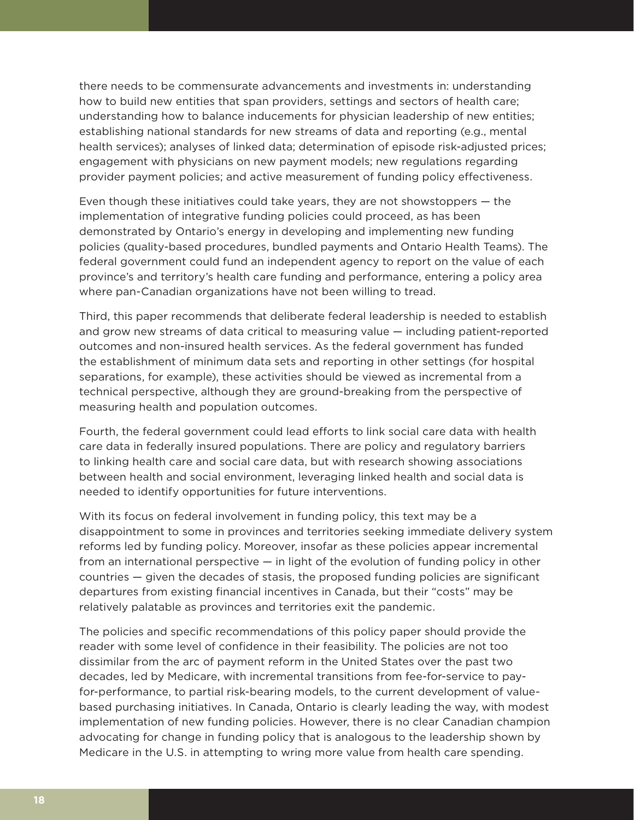there needs to be commensurate advancements and investments in: understanding how to build new entities that span providers, settings and sectors of health care; understanding how to balance inducements for physician leadership of new entities; establishing national standards for new streams of data and reporting (e.g., mental health services); analyses of linked data; determination of episode risk-adjusted prices; engagement with physicians on new payment models; new regulations regarding provider payment policies; and active measurement of funding policy effectiveness.

Even though these initiatives could take years, they are not showstoppers — the implementation of integrative funding policies could proceed, as has been demonstrated by Ontario's energy in developing and implementing new funding policies (quality-based procedures, bundled payments and Ontario Health Teams). The federal government could fund an independent agency to report on the value of each province's and territory's health care funding and performance, entering a policy area where pan-Canadian organizations have not been willing to tread.

Third, this paper recommends that deliberate federal leadership is needed to establish and grow new streams of data critical to measuring value — including patient-reported outcomes and non-insured health services. As the federal government has funded the establishment of minimum data sets and reporting in other settings (for hospital separations, for example), these activities should be viewed as incremental from a technical perspective, although they are ground-breaking from the perspective of measuring health and population outcomes.

Fourth, the federal government could lead efforts to link social care data with health care data in federally insured populations. There are policy and regulatory barriers to linking health care and social care data, but with research showing associations between health and social environment, leveraging linked health and social data is needed to identify opportunities for future interventions.

With its focus on federal involvement in funding policy, this text may be a disappointment to some in provinces and territories seeking immediate delivery system reforms led by funding policy. Moreover, insofar as these policies appear incremental from an international perspective — in light of the evolution of funding policy in other countries — given the decades of stasis, the proposed funding policies are significant departures from existing financial incentives in Canada, but their "costs" may be relatively palatable as provinces and territories exit the pandemic.

The policies and specific recommendations of this policy paper should provide the reader with some level of confidence in their feasibility. The policies are not too dissimilar from the arc of payment reform in the United States over the past two decades, led by Medicare, with incremental transitions from fee-for-service to payfor-performance, to partial risk-bearing models, to the current development of valuebased purchasing initiatives. In Canada, Ontario is clearly leading the way, with modest implementation of new funding policies. However, there is no clear Canadian champion advocating for change in funding policy that is analogous to the leadership shown by Medicare in the U.S. in attempting to wring more value from health care spending.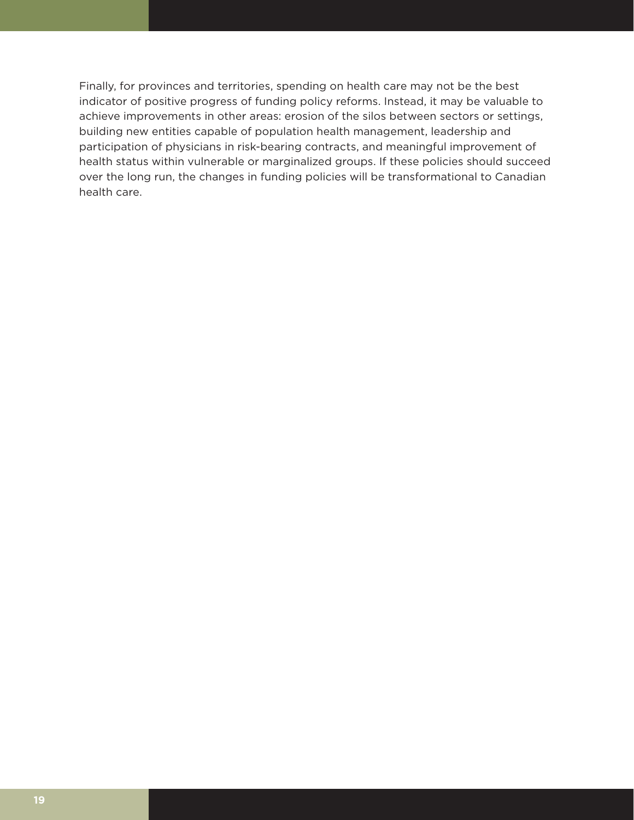Finally, for provinces and territories, spending on health care may not be the best indicator of positive progress of funding policy reforms. Instead, it may be valuable to achieve improvements in other areas: erosion of the silos between sectors or settings, building new entities capable of population health management, leadership and participation of physicians in risk-bearing contracts, and meaningful improvement of health status within vulnerable or marginalized groups. If these policies should succeed over the long run, the changes in funding policies will be transformational to Canadian health care.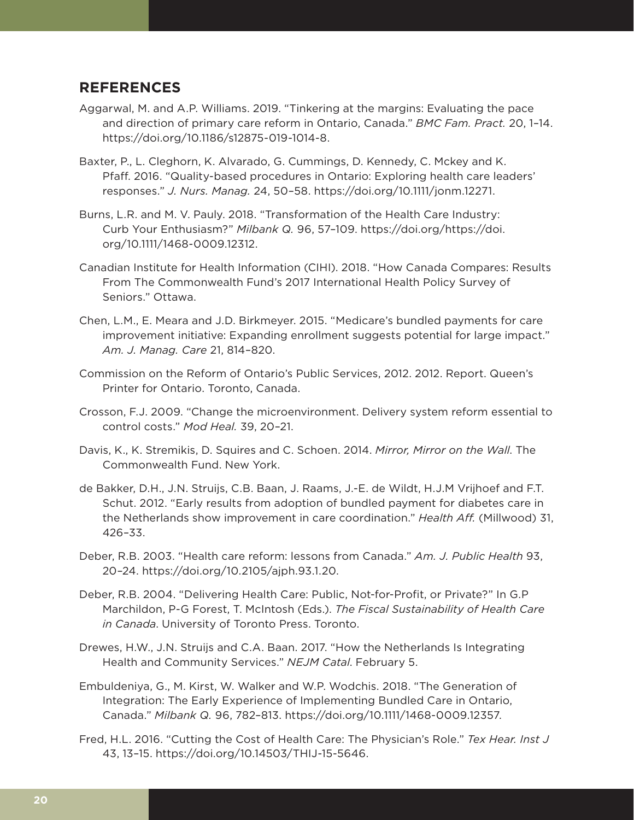### **REFERENCES**

- Aggarwal, M. and A.P. Williams. 2019. "Tinkering at the margins: Evaluating the pace and direction of primary care reform in Ontario, Canada." *BMC Fam. Pract.* 20, 1–14. https://doi.org/10.1186/s12875-019-1014-8.
- Baxter, P., L. Cleghorn, K. Alvarado, G. Cummings, D. Kennedy, C. Mckey and K. Pfaff. 2016. "Quality-based procedures in Ontario: Exploring health care leaders' responses." *J. Nurs. Manag.* 24, 50–58. https://doi.org/10.1111/jonm.12271.
- Burns, L.R. and M. V. Pauly. 2018. "Transformation of the Health Care Industry: Curb Your Enthusiasm?" *Milbank Q.* 96, 57–109. https://doi.org/https://doi. org/10.1111/1468-0009.12312.
- Canadian Institute for Health Information (CIHI). 2018. "How Canada Compares: Results From The Commonwealth Fund's 2017 International Health Policy Survey of Seniors." Ottawa.
- Chen, L.M., E. Meara and J.D. Birkmeyer. 2015. "Medicare's bundled payments for care improvement initiative: Expanding enrollment suggests potential for large impact." *Am. J. Manag. Care* 21, 814–820.
- Commission on the Reform of Ontario's Public Services, 2012. 2012. Report. Queen's Printer for Ontario. Toronto, Canada.
- Crosson, F.J. 2009. "Change the microenvironment. Delivery system reform essential to control costs." *Mod Heal.* 39, 20–21.
- Davis, K., K. Stremikis, D. Squires and C. Schoen. 2014. *Mirror, Mirror on the Wall*. The Commonwealth Fund. New York.
- de Bakker, D.H., J.N. Struijs, C.B. Baan, J. Raams, J.-E. de Wildt, H.J.M Vrijhoef and F.T. Schut. 2012. "Early results from adoption of bundled payment for diabetes care in the Netherlands show improvement in care coordination." *Health Aff.* (Millwood) 31, 426–33.
- Deber, R.B. 2003. "Health care reform: lessons from Canada." *Am. J. Public Health* 93, 20–24. https://doi.org/10.2105/ajph.93.1.20.
- Deber, R.B. 2004. "Delivering Health Care: Public, Not-for-Profit, or Private?" In G.P Marchildon, P-G Forest, T. McIntosh (Eds.). *The Fiscal Sustainability of Health Care in Canada*. University of Toronto Press. Toronto.
- Drewes, H.W., J.N. Struijs and C.A. Baan. 2017. "How the Netherlands Is Integrating Health and Community Services." *NEJM Catal*. February 5.
- Embuldeniya, G., M. Kirst, W. Walker and W.P. Wodchis. 2018. "The Generation of Integration: The Early Experience of Implementing Bundled Care in Ontario, Canada." *Milbank Q.* 96, 782–813. https://doi.org/10.1111/1468-0009.12357.
- Fred, H.L. 2016. "Cutting the Cost of Health Care: The Physician's Role." *Tex Hear. Inst J* 43, 13–15. https://doi.org/10.14503/THIJ-15-5646.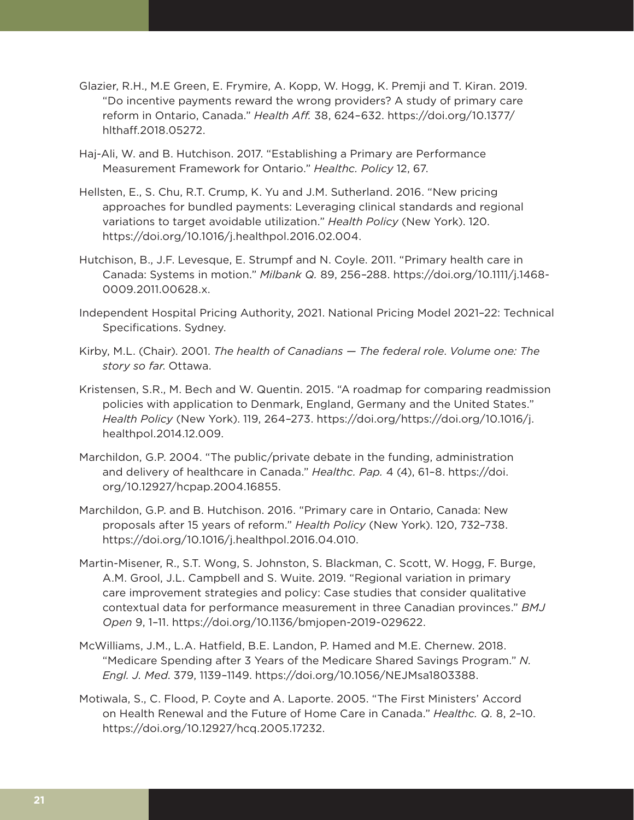- Glazier, R.H., M.E Green, E. Frymire, A. Kopp, W. Hogg, K. Premji and T. Kiran. 2019. "Do incentive payments reward the wrong providers? A study of primary care reform in Ontario, Canada." *Health Aff.* 38, 624–632. https://doi.org/10.1377/ hlthaff.2018.05272.
- Haj-Ali, W. and B. Hutchison. 2017. "Establishing a Primary are Performance Measurement Framework for Ontario." *Healthc. Policy* 12, 67.
- Hellsten, E., S. Chu, R.T. Crump, K. Yu and J.M. Sutherland. 2016. "New pricing approaches for bundled payments: Leveraging clinical standards and regional variations to target avoidable utilization." *Health Policy* (New York). 120. https://doi.org/10.1016/j.healthpol.2016.02.004.
- Hutchison, B., J.F. Levesque, E. Strumpf and N. Coyle. 2011. "Primary health care in Canada: Systems in motion." *Milbank Q.* 89, 256–288. https://doi.org/10.1111/j.1468- 0009.2011.00628.x.
- Independent Hospital Pricing Authority, 2021. National Pricing Model 2021–22: Technical Specifications. Sydney.
- Kirby, M.L. (Chair). 2001. *The health of Canadians The federal role*. *Volume one: The story so far*. Ottawa.
- Kristensen, S.R., M. Bech and W. Quentin. 2015. "A roadmap for comparing readmission policies with application to Denmark, England, Germany and the United States." *Health Policy* (New York). 119, 264–273. https://doi.org/https://doi.org/10.1016/j. healthpol.2014.12.009.
- Marchildon, G.P. 2004. "The public/private debate in the funding, administration and delivery of healthcare in Canada." *Healthc. Pap.* 4 (4), 61–8. https://doi. org/10.12927/hcpap.2004.16855.
- Marchildon, G.P. and B. Hutchison. 2016. "Primary care in Ontario, Canada: New proposals after 15 years of reform." *Health Policy* (New York). 120, 732–738. https://doi.org/10.1016/j.healthpol.2016.04.010.
- Martin-Misener, R., S.T. Wong, S. Johnston, S. Blackman, C. Scott, W. Hogg, F. Burge, A.M. Grool, J.L. Campbell and S. Wuite. 2019. "Regional variation in primary care improvement strategies and policy: Case studies that consider qualitative contextual data for performance measurement in three Canadian provinces." *BMJ Open* 9, 1–11. https://doi.org/10.1136/bmjopen-2019-029622.
- McWilliams, J.M., L.A. Hatfield, B.E. Landon, P. Hamed and M.E. Chernew. 2018. "Medicare Spending after 3 Years of the Medicare Shared Savings Program." *N. Engl. J. Med*. 379, 1139–1149. https://doi.org/10.1056/NEJMsa1803388.
- Motiwala, S., C. Flood, P. Coyte and A. Laporte. 2005. "The First Ministers' Accord on Health Renewal and the Future of Home Care in Canada." *Healthc. Q.* 8, 2–10. https://doi.org/10.12927/hcq.2005.17232.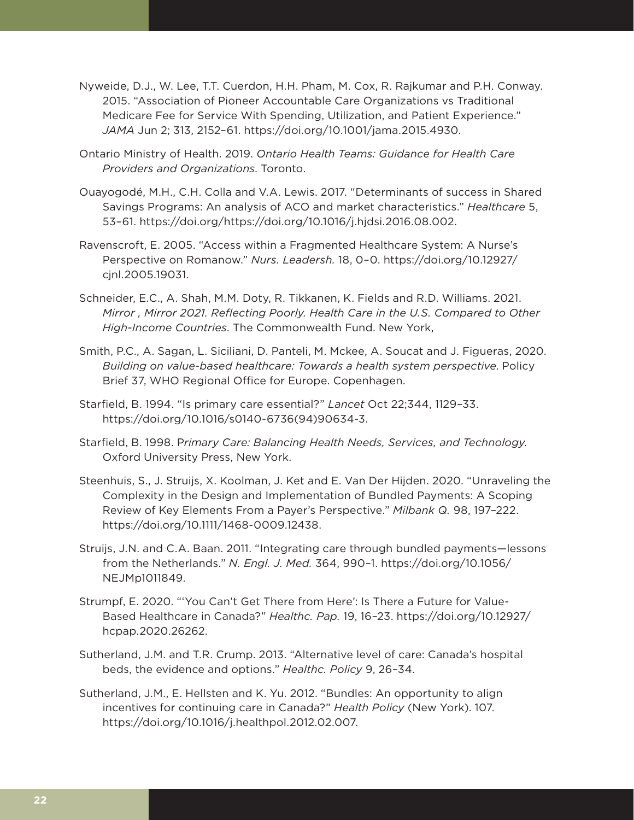- Nyweide, D.J., W. Lee, T.T. Cuerdon, H.H. Pham, M. Cox, R. Rajkumar and P.H. Conway. 2015. "Association of Pioneer Accountable Care Organizations vs Traditional Medicare Fee for Service With Spending, Utilization, and Patient Experience." *JAMA* Jun 2; 313, 2152–61. https://doi.org/10.1001/jama.2015.4930.
- Ontario Ministry of Health. 2019. *Ontario Health Teams: Guidance for Health Care Providers and Organizations*. Toronto.
- Ouayogodé, M.H., C.H. Colla and V.A. Lewis. 2017. "Determinants of success in Shared Savings Programs: An analysis of ACO and market characteristics." *Healthcare* 5, 53–61. https://doi.org/https://doi.org/10.1016/j.hjdsi.2016.08.002.
- Ravenscroft, E. 2005. "Access within a Fragmented Healthcare System: A Nurse's Perspective on Romanow." *Nurs. Leadersh.* 18, 0–0. https://doi.org/10.12927/ cjnl.2005.19031.
- Schneider, E.C., A. Shah, M.M. Doty, R. Tikkanen, K. Fields and R.D. Williams. 2021. *Mirror , Mirror 2021. Reflecting Poorly. Health Care in the U.S. Compared to Other High-Income Countries*. The Commonwealth Fund. New York,
- Smith, P.C., A. Sagan, L. Siciliani, D. Panteli, M. Mckee, A. Soucat and J. Figueras, 2020. *Building on value-based healthcare: Towards a health system perspective*. Policy Brief 37, WHO Regional Office for Europe. Copenhagen.
- Starfield, B. 1994. "Is primary care essential?" *Lancet* Oct 22;344, 1129–33. https://doi.org/10.1016/s0140-6736(94)90634-3.
- Starfield, B. 1998. P*rimary Care: Balancing Health Needs, Services, and Technology*. Oxford University Press, New York.
- Steenhuis, S., J. Struijs, X. Koolman, J. Ket and E. Van Der Hijden. 2020. "Unraveling the Complexity in the Design and Implementation of Bundled Payments: A Scoping Review of Key Elements From a Payer's Perspective." *Milbank Q.* 98, 197–222. https://doi.org/10.1111/1468-0009.12438.
- Struijs, J.N. and C.A. Baan. 2011. "Integrating care through bundled payments—lessons from the Netherlands." *N. Engl. J. Med.* 364, 990–1. https://doi.org/10.1056/ NEJMp1011849.
- Strumpf, E. 2020. "'You Can't Get There from Here': Is There a Future for Value-Based Healthcare in Canada?" *Healthc. Pap.* 19, 16–23. https://doi.org/10.12927/ hcpap.2020.26262.
- Sutherland, J.M. and T.R. Crump. 2013. "Alternative level of care: Canada's hospital beds, the evidence and options." *Healthc. Policy* 9, 26–34.
- Sutherland, J.M., E. Hellsten and K. Yu. 2012. "Bundles: An opportunity to align incentives for continuing care in Canada?" *Health Policy* (New York). 107. https://doi.org/10.1016/j.healthpol.2012.02.007.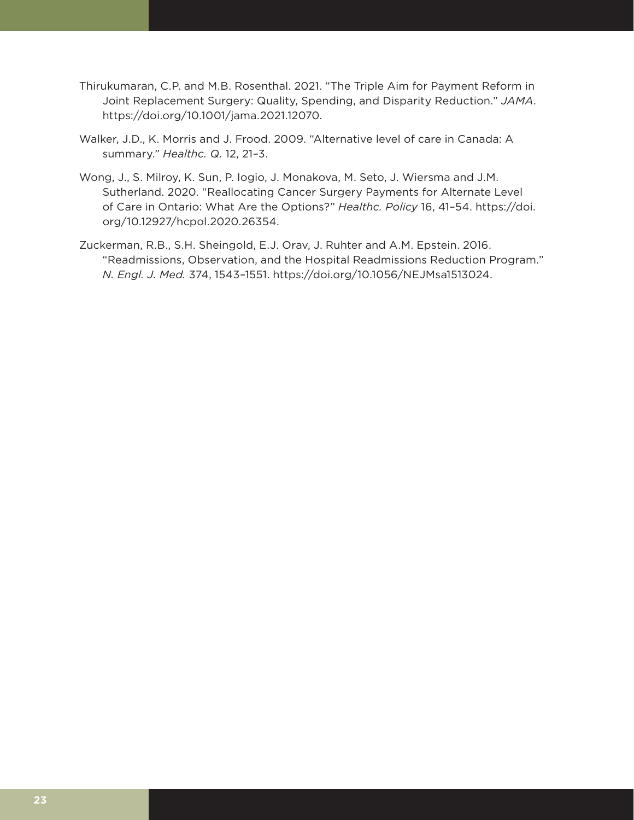- Thirukumaran, C.P. and M.B. Rosenthal. 2021. "The Triple Aim for Payment Reform in Joint Replacement Surgery: Quality, Spending, and Disparity Reduction." *JAMA*. https://doi.org/10.1001/jama.2021.12070.
- Walker, J.D., K. Morris and J. Frood. 2009. "Alternative level of care in Canada: A summary." *Healthc. Q.* 12, 21–3.
- Wong, J., S. Milroy, K. Sun, P. Iogio, J. Monakova, M. Seto, J. Wiersma and J.M. Sutherland. 2020. "Reallocating Cancer Surgery Payments for Alternate Level of Care in Ontario: What Are the Options?" *Healthc. Policy* 16, 41–54. https://doi. org/10.12927/hcpol.2020.26354.
- Zuckerman, R.B., S.H. Sheingold, E.J. Orav, J. Ruhter and A.M. Epstein. 2016. "Readmissions, Observation, and the Hospital Readmissions Reduction Program." *N. Engl. J. Med.* 374, 1543–1551. https://doi.org/10.1056/NEJMsa1513024.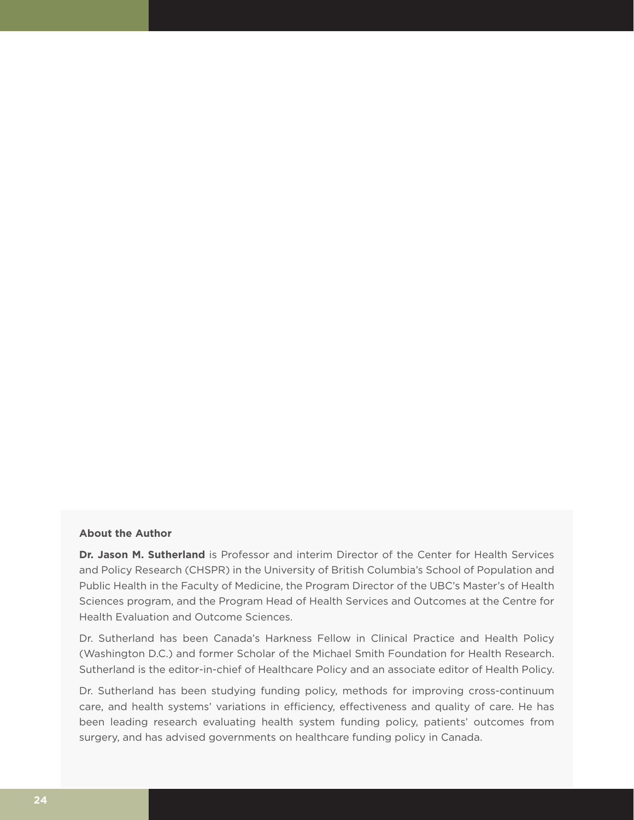#### **About the Author**

**Dr. Jason M. Sutherland** is Professor and interim Director of the Center for Health Services and Policy Research (CHSPR) in the University of British Columbia's School of Population and Public Health in the Faculty of Medicine, the Program Director of the UBC's Master's of Health Sciences program, and the Program Head of Health Services and Outcomes at the Centre for Health Evaluation and Outcome Sciences.

Dr. Sutherland has been Canada's Harkness Fellow in Clinical Practice and Health Policy (Washington D.C.) and former Scholar of the Michael Smith Foundation for Health Research. Sutherland is the editor-in-chief of Healthcare Policy and an associate editor of Health Policy.

Dr. Sutherland has been studying funding policy, methods for improving cross-continuum care, and health systems' variations in efficiency, effectiveness and quality of care. He has been leading research evaluating health system funding policy, patients' outcomes from surgery, and has advised governments on healthcare funding policy in Canada.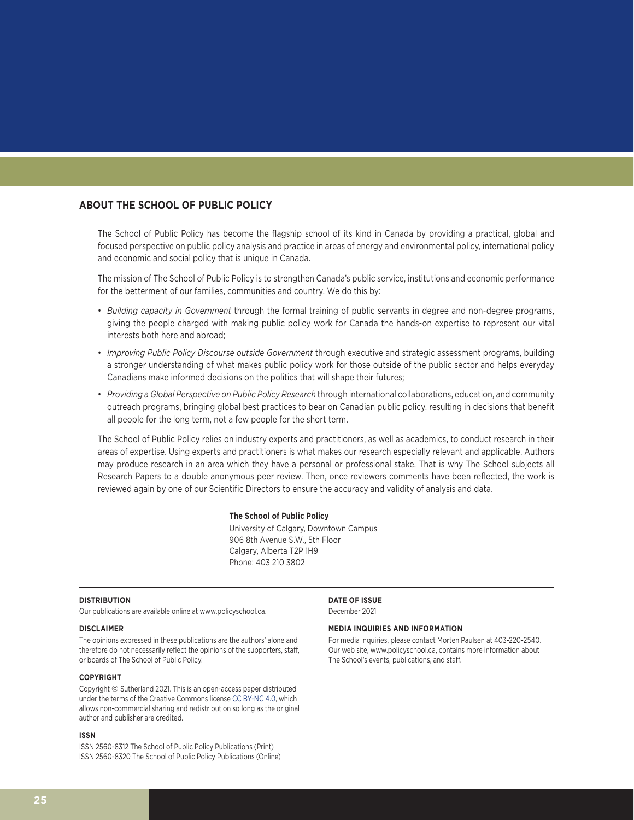#### **ABOUT THE SCHOOL OF PUBLIC POLICY**

The School of Public Policy has become the flagship school of its kind in Canada by providing a practical, global and focused perspective on public policy analysis and practice in areas of energy and environmental policy, international policy and economic and social policy that is unique in Canada.

The mission of The School of Public Policy is to strengthen Canada's public service, institutions and economic performance for the betterment of our families, communities and country. We do this by:

- *Building capacity in Government* through the formal training of public servants in degree and non-degree programs, giving the people charged with making public policy work for Canada the hands-on expertise to represent our vital interests both here and abroad;
- *Improving Public Policy Discourse outside Government* through executive and strategic assessment programs, building a stronger understanding of what makes public policy work for those outside of the public sector and helps everyday Canadians make informed decisions on the politics that will shape their futures;
- *Providing a Global Perspective on Public Policy Research* through international collaborations, education, and community outreach programs, bringing global best practices to bear on Canadian public policy, resulting in decisions that benefit all people for the long term, not a few people for the short term.

The School of Public Policy relies on industry experts and practitioners, as well as academics, to conduct research in their areas of expertise. Using experts and practitioners is what makes our research especially relevant and applicable. Authors may produce research in an area which they have a personal or professional stake. That is why The School subjects all Research Papers to a double anonymous peer review. Then, once reviewers comments have been reflected, the work is reviewed again by one of our Scientific Directors to ensure the accuracy and validity of analysis and data.

#### **The School of Public Policy**

University of Calgary, Downtown Campus 906 8th Avenue S.W., 5th Floor Calgary, Alberta T2P 1H9 Phone: 403 210 3802

#### **DISTRIBUTION**

Our publications are available online at www.policyschool.ca.

#### **DISCLAIMER**

The opinions expressed in these publications are the authors' alone and therefore do not necessarily reflect the opinions of the supporters, staff, or boards of The School of Public Policy.

#### **COPYRIGHT**

Copyright © Sutherland 2021. This is an open-access paper distributed under the terms of the Creative Commons license CC BY-NC 4.0, which allows non-commercial sharing and redistribution so long as the original author and publisher are credited.

#### **ISSN**

ISSN 2560-8312 The School of Public Policy Publications (Print) ISSN 2560-8320 The School of Public Policy Publications (Online) **DATE OF ISSUE** December 2021

#### **MEDIA INQUIRIES AND INFORMATION**

For media inquiries, please contact Morten Paulsen at 403-220-2540. Our web site, www.policyschool.ca, contains more information about The School's events, publications, and staff.